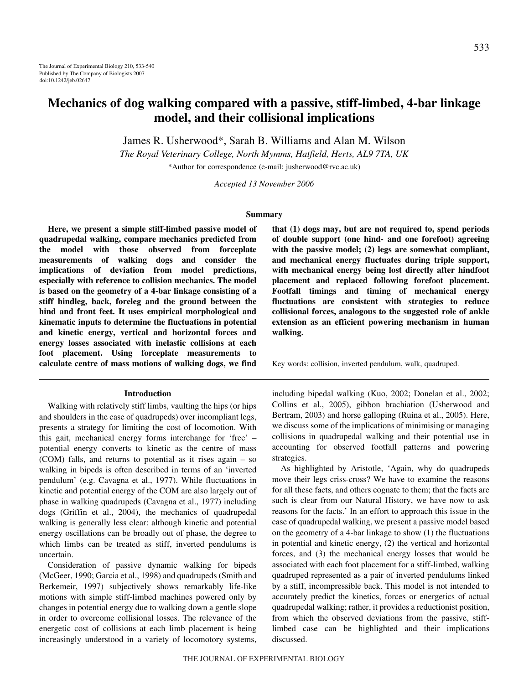# **Mechanics of dog walking compared with a passive, stiff-limbed, 4-bar linkage model, and their collisional implications**

James R. Usherwood\*, Sarah B. Williams and Alan M. Wilson

*The Royal Veterinary College, North Mymms, Hatfield, Herts, AL9 7TA, UK*

\*Author for correspondence (e-mail: jusherwood@rvc.ac.uk)

*Accepted 13 November 2006*

# **Summary**

**Here, we present a simple stiff-limbed passive model of quadrupedal walking, compare mechanics predicted from the model with those observed from forceplate measurements of walking dogs and consider the implications of deviation from model predictions, especially with reference to collision mechanics. The model is based on the geometry of a 4-bar linkage consisting of a stiff hindleg, back, foreleg and the ground between the hind and front feet. It uses empirical morphological and kinematic inputs to determine the fluctuations in potential and kinetic energy, vertical and horizontal forces and energy losses associated with inelastic collisions at each foot placement. Using forceplate measurements to calculate centre of mass motions of walking dogs, we find**

#### **Introduction**

Walking with relatively stiff limbs, vaulting the hips (or hips and shoulders in the case of quadrupeds) over incompliant legs, presents a strategy for limiting the cost of locomotion. With this gait, mechanical energy forms interchange for 'free' – potential energy converts to kinetic as the centre of mass (COM) falls, and returns to potential as it rises again – so walking in bipeds is often described in terms of an 'inverted pendulum' (e.g. Cavagna et al., 1977). While fluctuations in kinetic and potential energy of the COM are also largely out of phase in walking quadrupeds (Cavagna et al., 1977) including dogs (Griffin et al., 2004), the mechanics of quadrupedal walking is generally less clear: although kinetic and potential energy oscillations can be broadly out of phase, the degree to which limbs can be treated as stiff, inverted pendulums is uncertain.

Consideration of passive dynamic walking for bipeds (McGeer, 1990; Garcia et al., 1998) and quadrupeds (Smith and Berkemeir, 1997) subjectively shows remarkably life-like motions with simple stiff-limbed machines powered only by changes in potential energy due to walking down a gentle slope in order to overcome collisional losses. The relevance of the energetic cost of collisions at each limb placement is being increasingly understood in a variety of locomotory systems, **that (1) dogs may, but are not required to, spend periods of double support (one hind- and one forefoot) agreeing with the passive model; (2) legs are somewhat compliant, and mechanical energy fluctuates during triple support, with mechanical energy being lost directly after hindfoot placement and replaced following forefoot placement. Footfall timings and timing of mechanical energy fluctuations are consistent with strategies to reduce collisional forces, analogous to the suggested role of ankle extension as an efficient powering mechanism in human walking.**

Key words: collision, inverted pendulum, walk, quadruped.

including bipedal walking (Kuo, 2002; Donelan et al., 2002; Collins et al., 2005), gibbon brachiation (Usherwood and Bertram, 2003) and horse galloping (Ruina et al., 2005). Here, we discuss some of the implications of minimising or managing collisions in quadrupedal walking and their potential use in accounting for observed footfall patterns and powering strategies.

As highlighted by Aristotle, 'Again, why do quadrupeds move their legs criss-cross? We have to examine the reasons for all these facts, and others cognate to them; that the facts are such is clear from our Natural History, we have now to ask reasons for the facts.' In an effort to approach this issue in the case of quadrupedal walking, we present a passive model based on the geometry of a 4-bar linkage to show (1) the fluctuations in potential and kinetic energy, (2) the vertical and horizontal forces, and (3) the mechanical energy losses that would be associated with each foot placement for a stiff-limbed, walking quadruped represented as a pair of inverted pendulums linked by a stiff, incompressible back. This model is not intended to accurately predict the kinetics, forces or energetics of actual quadrupedal walking; rather, it provides a reductionist position, from which the observed deviations from the passive, stifflimbed case can be highlighted and their implications discussed.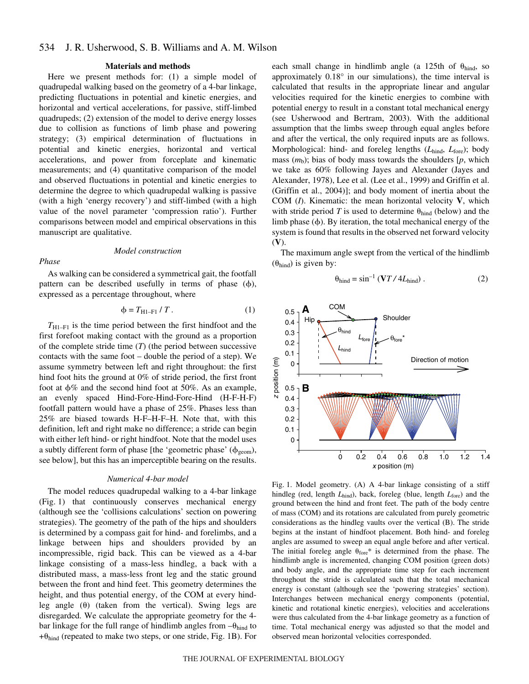#### **Materials and methods**

Here we present methods for: (1) a simple model of quadrupedal walking based on the geometry of a 4-bar linkage, predicting fluctuations in potential and kinetic energies, and horizontal and vertical accelerations, for passive, stiff-limbed quadrupeds; (2) extension of the model to derive energy losses due to collision as functions of limb phase and powering strategy; (3) empirical determination of fluctuations in potential and kinetic energies, horizontal and vertical accelerations, and power from forceplate and kinematic measurements; and (4) quantitative comparison of the model and observed fluctuations in potential and kinetic energies to determine the degree to which quadrupedal walking is passive (with a high 'energy recovery') and stiff-limbed (with a high value of the novel parameter 'compression ratio'). Further comparisons between model and empirical observations in this manuscript are qualitative.

# *Model construction*

# *Phase*

As walking can be considered a symmetrical gait, the footfall pattern can be described usefully in terms of phase  $(\phi)$ , expressed as a percentage throughout, where

$$
\phi = T_{\text{H1-F1}} / T. \tag{1}
$$

 $T_{\text{H1-F1}}$  is the time period between the first hindfoot and the first forefoot making contact with the ground as a proportion of the complete stride time (*T*) (the period between successive contacts with the same foot – double the period of a step). We assume symmetry between left and right throughout: the first hind foot hits the ground at 0% of stride period, the first front foot at  $\phi\%$  and the second hind foot at 50%. As an example, an evenly spaced Hind-Fore-Hind-Fore-Hind (H-F-H-F) footfall pattern would have a phase of 25%. Phases less than 25% are biased towards H-F–H-F–H. Note that, with this definition, left and right make no difference; a stride can begin with either left hind- or right hindfoot. Note that the model uses a subtly different form of phase [the 'geometric phase'  $(\phi_{\text{geom}})$ , see below], but this has an imperceptible bearing on the results.

#### *Numerical 4-bar model*

The model reduces quadrupedal walking to a 4-bar linkage (Fig. 1) that continuously conserves mechanical energy (although see the 'collisions calculations' section on powering strategies). The geometry of the path of the hips and shoulders is determined by a compass gait for hind- and forelimbs, and a linkage between hips and shoulders provided by an incompressible, rigid back. This can be viewed as a 4-bar linkage consisting of a mass-less hindleg, a back with a distributed mass, a mass-less front leg and the static ground between the front and hind feet. This geometry determines the height, and thus potential energy, of the COM at every hindleg angle  $(\theta)$  (taken from the vertical). Swing legs are disregarded. We calculate the appropriate geometry for the 4 bar linkage for the full range of hindlimb angles from  $-\theta_{\text{hind}}$  to  $+\theta_{\text{hind}}$  (repeated to make two steps, or one stride, Fig. 1B). For each small change in hindlimb angle (a 125th of  $\theta_{\text{hind}}$ , so approximately 0.18° in our simulations), the time interval is calculated that results in the appropriate linear and angular velocities required for the kinetic energies to combine with potential energy to result in a constant total mechanical energy (see Usherwood and Bertram, 2003). With the additional assumption that the limbs sweep through equal angles before and after the vertical, the only required inputs are as follows. Morphological: hind- and foreleg lengths (*L*hind, *L*fore); body mass  $(m_b)$ ; bias of body mass towards the shoulders  $[p,$  which we take as 60% following Jayes and Alexander (Jayes and Alexander, 1978), Lee et al. (Lee et al., 1999) and Griffin et al. (Griffin et al., 2004)]; and body moment of inertia about the COM (*I*). Kinematic: the mean horizontal velocity **V**, which with stride period *T* is used to determine  $\theta_{\text{hind}}$  (below) and the limb phase  $(\phi)$ . By iteration, the total mechanical energy of the system is found that results in the observed net forward velocity (**V**).

The maximum angle swept from the vertical of the hindlimb  $(\theta_{\text{hind}})$  is given by:

$$
\theta_{\text{hind}} = \sin^{-1} \left( \mathbf{V} T / 4L_{\text{hind}} \right). \tag{2}
$$



Fig. 1. Model geometry. (A) A 4-bar linkage consisting of a stiff hindleg (red, length *L*<sub>hind</sub>), back, foreleg (blue, length *L*<sub>fore</sub>) and the ground between the hind and front feet. The path of the body centre of mass (COM) and its rotations are calculated from purely geometric considerations as the hindleg vaults over the vertical (B). The stride begins at the instant of hindfoot placement. Both hind- and foreleg angles are assumed to sweep an equal angle before and after vertical. The initial foreleg angle  $\theta_{\text{fore}}$ <sup>\*</sup> is determined from the phase. The hindlimb angle is incremented, changing COM position (green dots) and body angle, and the appropriate time step for each increment throughout the stride is calculated such that the total mechanical energy is constant (although see the 'powering strategies' section). Interchanges between mechanical energy components (potential, kinetic and rotational kinetic energies), velocities and accelerations were thus calculated from the 4-bar linkage geometry as a function of time. Total mechanical energy was adjusted so that the model and observed mean horizontal velocities corresponded.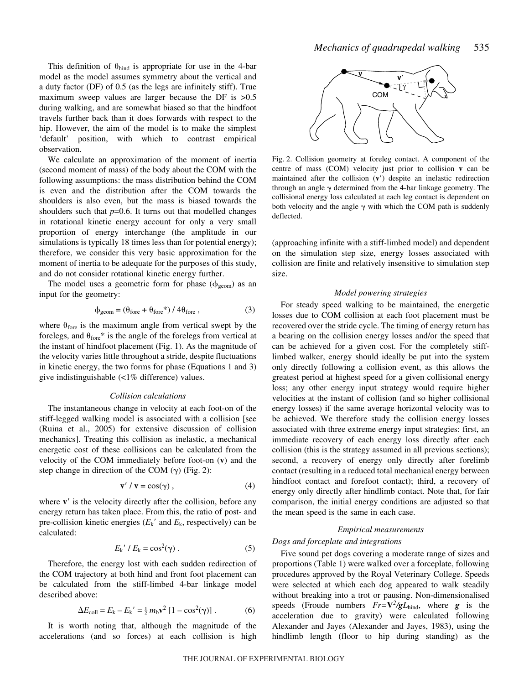This definition of  $\theta_{\text{hind}}$  is appropriate for use in the 4-bar model as the model assumes symmetry about the vertical and a duty factor (DF) of 0.5 (as the legs are infinitely stiff). True maximum sweep values are larger because the DF is  $>0.5$ during walking, and are somewhat biased so that the hindfoot travels further back than it does forwards with respect to the hip. However, the aim of the model is to make the simplest 'default' position, with which to contrast empirical observation.

We calculate an approximation of the moment of inertia (second moment of mass) of the body about the COM with the following assumptions: the mass distribution behind the COM is even and the distribution after the COM towards the shoulders is also even, but the mass is biased towards the shoulders such that  $p=0.6$ . It turns out that modelled changes in rotational kinetic energy account for only a very small proportion of energy interchange (the amplitude in our simulations is typically 18 times less than for potential energy); therefore, we consider this very basic approximation for the moment of inertia to be adequate for the purposes of this study, and do not consider rotational kinetic energy further.

The model uses a geometric form for phase  $(\phi_{\text{geom}})$  as an input for the geometry:

$$
\phi_{\text{geom}} = (\theta_{\text{fore}} + \theta_{\text{fore}}*) / 4\theta_{\text{fore}}, \tag{3}
$$

where  $\theta_{\text{fore}}$  is the maximum angle from vertical swept by the forelegs, and  $\theta_{\text{fore}}$ \* is the angle of the forelegs from vertical at the instant of hindfoot placement (Fig. 1). As the magnitude of the velocity varies little throughout a stride, despite fluctuations in kinetic energy, the two forms for phase (Equations 1 and 3) give indistinguishable (<1% difference) values.

#### *Collision calculations*

The instantaneous change in velocity at each foot-on of the stiff-legged walking model is associated with a collision [see (Ruina et al., 2005) for extensive discussion of collision mechanics]. Treating this collision as inelastic, a mechanical energetic cost of these collisions can be calculated from the velocity of the COM immediately before foot-on (**v**) and the step change in direction of the COM  $(\gamma)$  (Fig. 2):

$$
\mathbf{v}' / \mathbf{v} = \cos(\gamma) \,, \tag{4}
$$

where **v**' is the velocity directly after the collision, before any energy return has taken place. From this, the ratio of post- and pre-collision kinetic energies  $(E_k'$  and  $E_k$ , respectively) can be calculated:

$$
E_{k}^{\prime}/E_{k} = \cos^{2}(\gamma). \tag{5}
$$

Therefore, the energy lost with each sudden redirection of the COM trajectory at both hind and front foot placement can be calculated from the stiff-limbed 4-bar linkage model described above:

$$
\Delta E_{\text{coll}} = E_{\text{k}} - E_{\text{k}}' = \frac{1}{2} m_{\text{b}} \mathbf{v}^2 [1 - \cos^2(\gamma)]. \tag{6}
$$

It is worth noting that, although the magnitude of the accelerations (and so forces) at each collision is high



Fig. 2. Collision geometry at foreleg contact. A component of the centre of mass (COM) velocity just prior to collision **v** can be maintained after the collision (**v**) despite an inelastic redirection through an angle  $\gamma$  determined from the 4-bar linkage geometry. The collisional energy loss calculated at each leg contact is dependent on both velocity and the angle  $\gamma$  with which the COM path is suddenly deflected.

(approaching infinite with a stiff-limbed model) and dependent on the simulation step size, energy losses associated with collision are finite and relatively insensitive to simulation step size.

#### *Model powering strategies*

For steady speed walking to be maintained, the energetic losses due to COM collision at each foot placement must be recovered over the stride cycle. The timing of energy return has a bearing on the collision energy losses and/or the speed that can be achieved for a given cost. For the completely stifflimbed walker, energy should ideally be put into the system only directly following a collision event, as this allows the greatest period at highest speed for a given collisional energy loss; any other energy input strategy would require higher velocities at the instant of collision (and so higher collisional energy losses) if the same average horizontal velocity was to be achieved. We therefore study the collision energy losses associated with three extreme energy input strategies: first, an immediate recovery of each energy loss directly after each collision (this is the strategy assumed in all previous sections); second, a recovery of energy only directly after forelimb contact (resulting in a reduced total mechanical energy between hindfoot contact and forefoot contact); third, a recovery of energy only directly after hindlimb contact. Note that, for fair comparison, the initial energy conditions are adjusted so that the mean speed is the same in each case.

# *Empirical measurements*

# *Dogs and forceplate and integrations*

Five sound pet dogs covering a moderate range of sizes and proportions (Table 1) were walked over a forceplate, following procedures approved by the Royal Veterinary College. Speeds were selected at which each dog appeared to walk steadily without breaking into a trot or pausing. Non-dimensionalised speeds (Froude numbers  $Fr = \frac{V^2}{gL_{\text{hind}}},$  where *g* is the acceleration due to gravity) were calculated following Alexander and Jayes (Alexander and Jayes, 1983), using the hindlimb length (floor to hip during standing) as the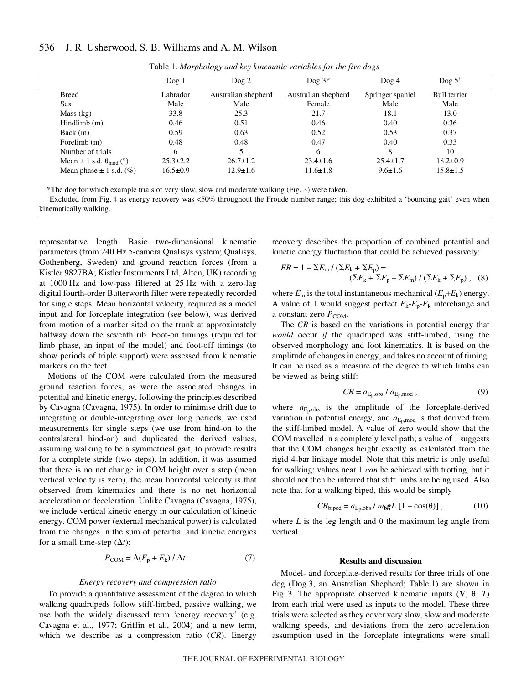#### 536 J. R. Usherwood, S. B. Williams and A. M. Wilson

|                                              | Dog1           | $\log 2$            | Dog $3*$            | $\log 4$         | Dog $5^{\dagger}$   |
|----------------------------------------------|----------------|---------------------|---------------------|------------------|---------------------|
| <b>Breed</b>                                 | Labrador       | Australian shepherd | Australian shepherd | Springer spaniel | <b>Bull</b> terrier |
| Sex                                          | Male           | Male                | Female              | Male             | Male                |
| Mass (kg)                                    | 33.8           | 25.3                | 21.7                | 18.1             | 13.0                |
| Hindlimb(m)                                  | 0.46           | 0.51                | 0.46                | 0.40             | 0.36                |
| Back(m)                                      | 0.59           | 0.63                | 0.52                | 0.53             | 0.37                |
| Forelimb (m)                                 | 0.48           | 0.48                | 0.47                | 0.40             | 0.33                |
| Number of trials                             | 6              |                     | 6                   | 8                | 10                  |
| Mean $\pm$ 1 s.d. $\theta_{\text{bind}}$ (°) | $25.3 \pm 2.2$ | $26.7 \pm 1.2$      | $23.4 \pm 1.6$      | $25.4 \pm 1.7$   | $18.2 \pm 0.9$      |
| Mean phase $\pm$ 1 s.d. (%)                  | $16.5 \pm 0.9$ | $12.9 \pm 1.6$      | $11.6 \pm 1.8$      | $9.6 \pm 1.6$    | $15.8 \pm 1.5$      |

Table 1. *Morphology and key kinematic variables for the five dogs*

\*The dog for which example trials of very slow, slow and moderate walking (Fig.·3) were taken.

<sup>†</sup>Excluded from Fig. 4 as energy recovery was <50% throughout the Froude number range; this dog exhibited a 'bouncing gait' even when kinematically walking.

representative length. Basic two-dimensional kinematic parameters (from 240 Hz 5-camera Qualisys system; Qualisys, Gothenberg, Sweden) and ground reaction forces (from a Kistler 9827BA; Kistler Instruments Ltd, Alton, UK) recording at 1000 Hz and low-pass filtered at 25 Hz with a zero-lag digital fourth-order Butterworth filter were repeatedly recorded for single steps. Mean horizontal velocity, required as a model input and for forceplate integration (see below), was derived from motion of a marker sited on the trunk at approximately halfway down the seventh rib. Foot-on timings (required for limb phase, an input of the model) and foot-off timings (to show periods of triple support) were assessed from kinematic markers on the feet.

Motions of the COM were calculated from the measured ground reaction forces, as were the associated changes in potential and kinetic energy, following the principles described by Cavagna (Cavagna, 1975). In order to minimise drift due to integrating or double-integrating over long periods, we used measurements for single steps (we use from hind-on to the contralateral hind-on) and duplicated the derived values, assuming walking to be a symmetrical gait, to provide results for a complete stride (two steps). In addition, it was assumed that there is no net change in COM height over a step (mean vertical velocity is zero), the mean horizontal velocity is that observed from kinematics and there is no net horizontal acceleration or deceleration. Unlike Cavagna (Cavagna, 1975), we include vertical kinetic energy in our calculation of kinetic energy. COM power (external mechanical power) is calculated from the changes in the sum of potential and kinetic energies for a small time-step  $(\Delta t)$ :

$$
P_{COM} = \Delta (E_p + E_k) / \Delta t . \qquad (7)
$$

## *Energy recovery and compression ratio*

To provide a quantitative assessment of the degree to which walking quadrupeds follow stiff-limbed, passive walking, we use both the widely discussed term 'energy recovery' (e.g. Cavagna et al., 1977; Griffin et al., 2004) and a new term, which we describe as a compression ratio (*CR*). Energy recovery describes the proportion of combined potential and kinetic energy fluctuation that could be achieved passively:

$$
ER = 1 - \sum E_{\rm m} / (\sum E_{\rm k} + \sum E_{\rm p}) =
$$
  
\n
$$
(\sum E_{\rm k} + \sum E_{\rm p} - \sum E_{\rm m}) / (\sum E_{\rm k} + \sum E_{\rm p}),
$$
 (8)

where  $E_m$  is the total instantaneous mechanical ( $E_p + E_k$ ) energy. A value of 1 would suggest perfect *E*k*-E*p*-E*<sup>k</sup> interchange and a constant zero  $P_{COM}$ .

The *CR* is based on the variations in potential energy that *would* occur *if* the quadruped was stiff-limbed, using the observed morphology and foot kinematics. It is based on the amplitude of changes in energy, and takes no account of timing. It can be used as a measure of the degree to which limbs can be viewed as being stiff:

$$
CR = a_{\text{E}_p, \text{obs}} / a_{\text{E}_p, \text{mod}}, \tag{9}
$$

where  $a_{E_p,obs}$  is the amplitude of the forceplate-derived variation in potential energy, and  $a_{\text{E}_{p,mod}}$  is that derived from the stiff-limbed model. A value of zero would show that the COM travelled in a completely level path; a value of 1 suggests that the COM changes height exactly as calculated from the rigid 4-bar linkage model. Note that this metric is only useful for walking: values near 1 *can* be achieved with trotting, but it should not then be inferred that stiff limbs are being used. Also note that for a walking biped, this would be simply

$$
CR_{\text{biped}} = a_{\text{E}_\text{p},\text{obs}} / m_\text{b} gL [1 - \cos(\theta)], \qquad (10)
$$

where *L* is the leg length and  $\theta$  the maximum leg angle from vertical.

## **Results and discussion**

Model- and forceplate-derived results for three trials of one dog (Dog 3, an Australian Shepherd; Table 1) are shown in Fig. 3. The appropriate observed kinematic inputs  $(V, \theta, T)$ from each trial were used as inputs to the model. These three trials were selected as they cover very slow, slow and moderate walking speeds, and deviations from the zero acceleration assumption used in the forceplate integrations were small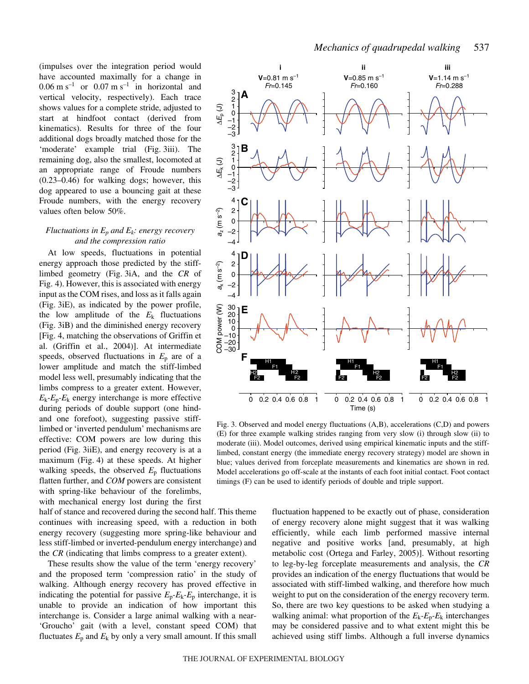(impulses over the integration period would have accounted maximally for a change in  $0.06 \text{ m s}^{-1}$  or  $0.07 \text{ m s}^{-1}$  in horizontal and vertical velocity, respectively). Each trace shows values for a complete stride, adjusted to start at hindfoot contact (derived from kinematics). Results for three of the four additional dogs broadly matched those for the 'moderate' example trial (Fig. 3iii). The remaining dog, also the smallest, locomoted at an appropriate range of Froude numbers (0.23–0.46) for walking dogs; however, this dog appeared to use a bouncing gait at these Froude numbers, with the energy recovery values often below 50%.

# *Fluctuations in Ep and Ek: energy recovery and the compression ratio*

At low speeds, fluctuations in potential energy approach those predicted by the stifflimbed geometry (Fig. 3iA, and the *CR* of Fig. 4). However, this is associated with energy input as the COM rises, and loss as it falls again (Fig. 3iE), as indicated by the power profile, the low amplitude of the  $E_k$  fluctuations (Fig. 3iB) and the diminished energy recovery [Fig. 4, matching the observations of Griffin et al. (Griffin et al., 2004)]. At intermediate speeds, observed fluctuations in  $E_p$  are of a lower amplitude and match the stiff-limbed model less well, presumably indicating that the limbs compress to a greater extent. However,  $E_k - E_p - E_k$  energy interchange is more effective during periods of double support (one hindand one forefoot), suggesting passive stifflimbed or 'inverted pendulum' mechanisms are effective: COM powers are low during this period (Fig. 3iiE), and energy recovery is at a maximum (Fig. 4) at these speeds. At higher walking speeds, the observed  $E<sub>p</sub>$  fluctuations flatten further, and *COM* powers are consistent with spring-like behaviour of the forelimbs, with mechanical energy lost during the first

half of stance and recovered during the second half. This theme continues with increasing speed, with a reduction in both energy recovery (suggesting more spring-like behaviour and less stiff-limbed or inverted-pendulum energy interchange) and the *CR* (indicating that limbs compress to a greater extent).

These results show the value of the term 'energy recovery' and the proposed term 'compression ratio' in the study of walking. Although energy recovery has proved effective in indicating the potential for passive  $E_p$ - $E_k$ - $E_p$  interchange, it is unable to provide an indication of how important this interchange is. Consider a large animal walking with a near- 'Groucho' gait (with a level, constant speed COM) that fluctuates  $E_p$  and  $E_k$  by only a very small amount. If this small



Fig. 3. Observed and model energy fluctuations  $(A,B)$ , accelerations  $(C,D)$  and powers (E) for three example walking strides ranging from very slow (i) through slow (ii) to moderate (iii). Model outcomes, derived using empirical kinematic inputs and the stifflimbed, constant energy (the immediate energy recovery strategy) model are shown in blue; values derived from forceplate measurements and kinematics are shown in red. Model accelerations go off-scale at the instants of each foot initial contact. Foot contact timings (F) can be used to identify periods of double and triple support.

fluctuation happened to be exactly out of phase, consideration of energy recovery alone might suggest that it was walking efficiently, while each limb performed massive internal negative and positive works [and, presumably, at high metabolic cost (Ortega and Farley, 2005)]. Without resorting to leg-by-leg forceplate measurements and analysis, the *CR* provides an indication of the energy fluctuations that would be associated with stiff-limbed walking, and therefore how much weight to put on the consideration of the energy recovery term. So, there are two key questions to be asked when studying a walking animal: what proportion of the  $E_k - E_p - E_k$  interchanges may be considered passive and to what extent might this be achieved using stiff limbs. Although a full inverse dynamics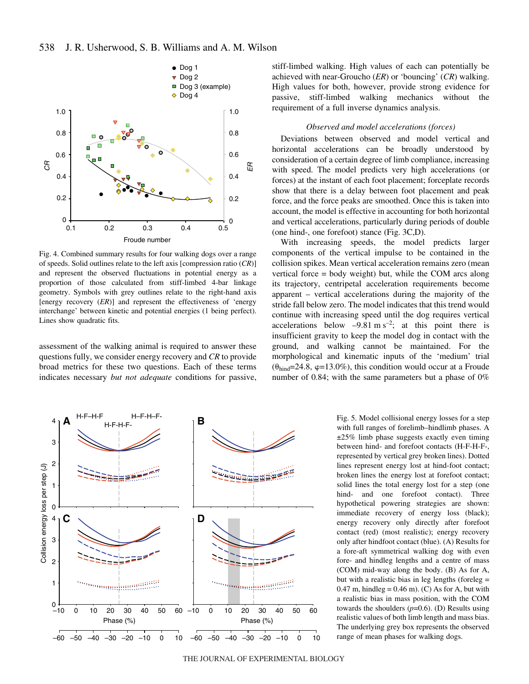

Fig. 4. Combined summary results for four walking dogs over a range of speeds. Solid outlines relate to the left axis [compression ratio (*CR*)] and represent the observed fluctuations in potential energy as a proportion of those calculated from stiff-limbed 4-bar linkage geometry. Symbols with grey outlines relate to the right-hand axis [energy recovery (*ER*)] and represent the effectiveness of 'energy interchange' between kinetic and potential energies (1 being perfect). Lines show quadratic fits.

assessment of the walking animal is required to answer these questions fully, we consider energy recovery and *CR* to provide broad metrics for these two questions. Each of these terms indicates necessary *but not adequate* conditions for passive, stiff-limbed walking. High values of each can potentially be achieved with near-Groucho (*ER*) or 'bouncing' (*CR*) walking. High values for both, however, provide strong evidence for passive, stiff-limbed walking mechanics without the requirement of a full inverse dynamics analysis.

## *Observed and model accelerations (forces)*

Deviations between observed and model vertical and horizontal accelerations can be broadly understood by consideration of a certain degree of limb compliance, increasing with speed. The model predicts very high accelerations (or forces) at the instant of each foot placement; forceplate records show that there is a delay between foot placement and peak force, and the force peaks are smoothed. Once this is taken into account, the model is effective in accounting for both horizontal and vertical accelerations, particularly during periods of double (one hind-, one forefoot) stance (Fig. 3C,D).

With increasing speeds, the model predicts larger components of the vertical impulse to be contained in the collision spikes. Mean vertical acceleration remains zero (mean vertical force = body weight) but, while the COM arcs along its trajectory, centripetal acceleration requirements become apparent – vertical accelerations during the majority of the stride fall below zero. The model indicates that this trend would continue with increasing speed until the dog requires vertical accelerations below  $-9.81 \text{ m s}^{-2}$ ; at this point there is insufficient gravity to keep the model dog in contact with the ground, and walking cannot be maintained. For the morphological and kinematic inputs of the 'medium' trial  $(\theta_{\text{hind}}=24.8, \varphi=13.0\%)$ , this condition would occur at a Froude number of 0.84; with the same parameters but a phase of 0%



Fig. 5. Model collisional energy losses for a step with full ranges of forelimb–hindlimb phases. A ±25% limb phase suggests exactly even timing between hind- and forefoot contacts (H-F-H-F-, represented by vertical grey broken lines). Dotted lines represent energy lost at hind-foot contact; broken lines the energy lost at forefoot contact; solid lines the total energy lost for a step (one hind- and one forefoot contact). Three hypothetical powering strategies are shown: immediate recovery of energy loss (black); energy recovery only directly after forefoot contact (red) (most realistic); energy recovery only after hindfoot contact (blue). (A) Results for a fore-aft symmetrical walking dog with even fore- and hindleg lengths and a centre of mass (COM) mid-way along the body. (B) As for A, but with a realistic bias in leg lengths (foreleg =  $0.47$  m, hindleg =  $0.46$  m). (C) As for A, but with a realistic bias in mass position, with the COM towards the shoulders (*p*=0.6). (D) Results using realistic values of both limb length and mass bias. The underlying grey box represents the observed range of mean phases for walking dogs.

THE JOURNAL OF EXPERIMENTAL BIOLOGY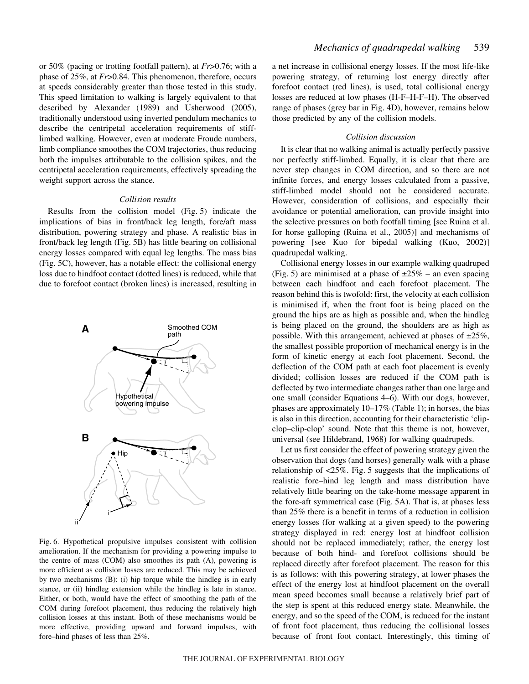or 50% (pacing or trotting footfall pattern), at *Fr*>0.76; with a phase of 25%, at *Fr*>0.84. This phenomenon, therefore, occurs at speeds considerably greater than those tested in this study. This speed limitation to walking is largely equivalent to that described by Alexander (1989) and Usherwood (2005), traditionally understood using inverted pendulum mechanics to describe the centripetal acceleration requirements of stifflimbed walking. However, even at moderate Froude numbers, limb compliance smoothes the COM trajectories, thus reducing both the impulses attributable to the collision spikes, and the centripetal acceleration requirements, effectively spreading the weight support across the stance.

# *Collision results*

Results from the collision model  $(Fig. 5)$  indicate the implications of bias in front/back leg length, fore/aft mass distribution, powering strategy and phase. A realistic bias in front/back leg length (Fig. 5B) has little bearing on collisional energy losses compared with equal leg lengths. The mass bias (Fig. 5C), however, has a notable effect: the collisional energy loss due to hindfoot contact (dotted lines) is reduced, while that due to forefoot contact (broken lines) is increased, resulting in



Fig. 6. Hypothetical propulsive impulses consistent with collision amelioration. If the mechanism for providing a powering impulse to the centre of mass (COM) also smoothes its path (A), powering is more efficient as collision losses are reduced. This may be achieved by two mechanisms (B): (i) hip torque while the hindleg is in early stance, or (ii) hindleg extension while the hindleg is late in stance. Either, or both, would have the effect of smoothing the path of the COM during forefoot placement, thus reducing the relatively high collision losses at this instant. Both of these mechanisms would be more effective, providing upward and forward impulses, with fore–hind phases of less than 25%.

a net increase in collisional energy losses. If the most life-like powering strategy, of returning lost energy directly after forefoot contact (red lines), is used, total collisional energy losses are reduced at low phases (H-F–H-F–H). The observed range of phases (grey bar in Fig. 4D), however, remains below those predicted by any of the collision models.

# *Collision discussion*

It is clear that no walking animal is actually perfectly passive nor perfectly stiff-limbed. Equally, it is clear that there are never step changes in COM direction, and so there are not infinite forces, and energy losses calculated from a passive, stiff-limbed model should not be considered accurate. However, consideration of collisions, and especially their avoidance or potential amelioration, can provide insight into the selective pressures on both footfall timing [see Ruina et al. for horse galloping (Ruina et al., 2005)] and mechanisms of powering [see Kuo for bipedal walking (Kuo, 2002)] quadrupedal walking.

Collisional energy losses in our example walking quadruped (Fig. 5) are minimised at a phase of  $\pm 25\%$  – an even spacing between each hindfoot and each forefoot placement. The reason behind this is twofold: first, the velocity at each collision is minimised if, when the front foot is being placed on the ground the hips are as high as possible and, when the hindleg is being placed on the ground, the shoulders are as high as possible. With this arrangement, achieved at phases of  $\pm 25\%$ , the smallest possible proportion of mechanical energy is in the form of kinetic energy at each foot placement. Second, the deflection of the COM path at each foot placement is evenly divided; collision losses are reduced if the COM path is deflected by two intermediate changes rather than one large and one small (consider Equations 4–6). With our dogs, however, phases are approximately  $10-17\%$  (Table 1); in horses, the bias is also in this direction, accounting for their characteristic 'clipclop–clip-clop' sound. Note that this theme is not, however, universal (see Hildebrand, 1968) for walking quadrupeds.

Let us first consider the effect of powering strategy given the observation that dogs (and horses) generally walk with a phase relationship of  $\langle 25\% \rangle$ . Fig. 5 suggests that the implications of realistic fore–hind leg length and mass distribution have relatively little bearing on the take-home message apparent in the fore-aft symmetrical case (Fig. 5A). That is, at phases less than 25% there is a benefit in terms of a reduction in collision energy losses (for walking at a given speed) to the powering strategy displayed in red: energy lost at hindfoot collision should not be replaced immediately; rather, the energy lost because of both hind- and forefoot collisions should be replaced directly after forefoot placement. The reason for this is as follows: with this powering strategy, at lower phases the effect of the energy lost at hindfoot placement on the overall mean speed becomes small because a relatively brief part of the step is spent at this reduced energy state. Meanwhile, the energy, and so the speed of the COM, is reduced for the instant of front foot placement, thus reducing the collisional losses because of front foot contact. Interestingly, this timing of